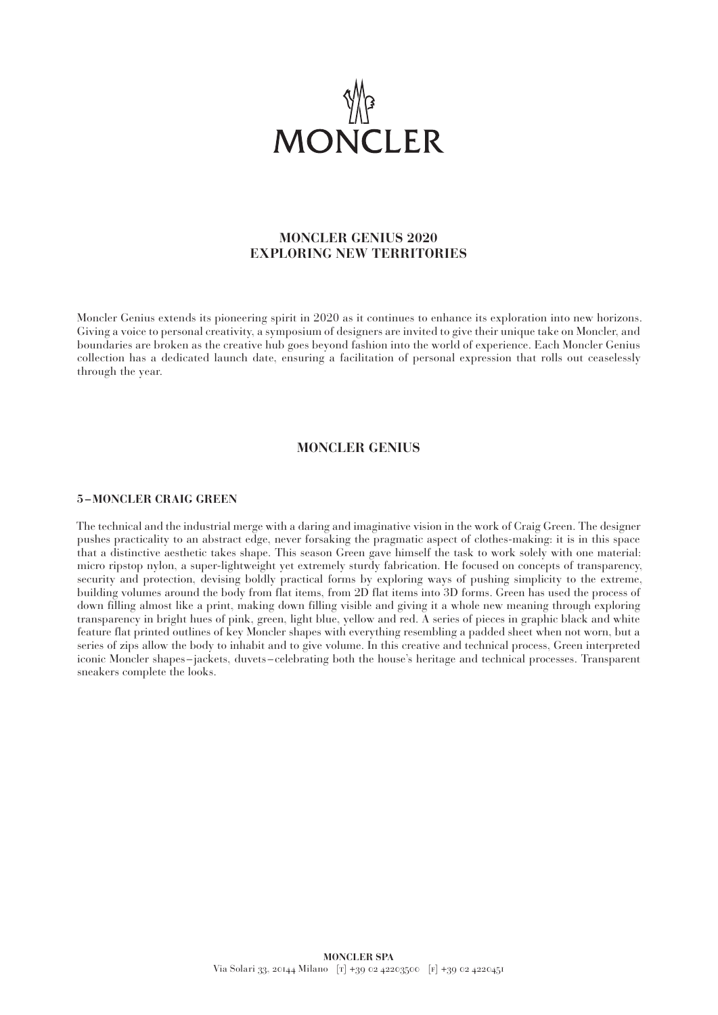

# **MONCLER GENIUS 2020 EXPLORING NEW TERRITORIES**

Moncler Genius extends its pioneering spirit in 2020 as it continues to enhance its exploration into new horizons. Giving a voice to personal creativity, a symposium of designers are invited to give their unique take on Moncler, and boundaries are broken as the creative hub goes beyond fashion into the world of experience. Each Moncler Genius collection has a dedicated launch date, ensuring a facilitation of personal expression that rolls out ceaselessly through the year.

### **MONCLER GENIUS**

#### **5 –MONCLER CRAIG GREEN**

The technical and the industrial merge with a daring and imaginative vision in the work of Craig Green. The designer pushes practicality to an abstract edge, never forsaking the pragmatic aspect of clothes-making: it is in this space that a distinctive aesthetic takes shape. This season Green gave himself the task to work solely with one material: micro ripstop nylon, a super-lightweight yet extremely sturdy fabrication. He focused on concepts of transparency, security and protection, devising boldly practical forms by exploring ways of pushing simplicity to the extreme, building volumes around the body from flat items, from 2D flat items into 3D forms. Green has used the process of down filling almost like a print, making down filling visible and giving it a whole new meaning through exploring transparency in bright hues of pink, green, light blue, yellow and red. A series of pieces in graphic black and white feature flat printed outlines of key Moncler shapes with everything resembling a padded sheet when not worn, but a series of zips allow the body to inhabit and to give volume. In this creative and technical process, Green interpreted iconic Moncler shapes –jackets, duvets–celebrating both the house's heritage and technical processes. Transparent sneakers complete the looks.